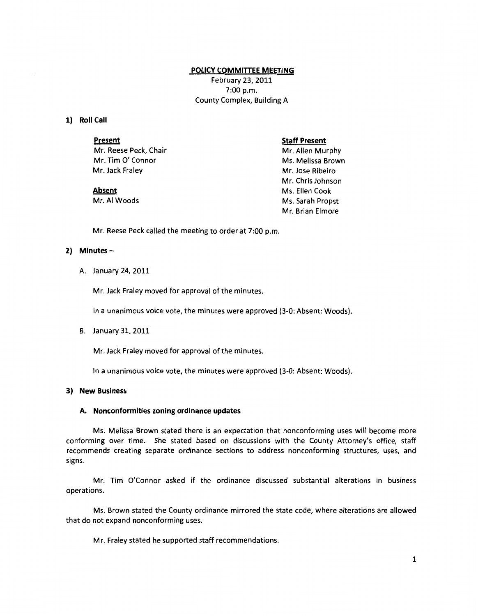#### **POLICY COMMITTEE MEETING**

February *23,* 2011 7:00 p.m. County Complex, Building A

# **1) Roll Call**

**Present**  Mr. Reese Peck, Chair Mr. Tim *0'* Connor Mr. Jack Fraley

#### **Staff Present**

Mr. Allen Murphy Ms. Melissa Brown Mr. Jose Ribeiro Mr. Chris Johnson Ms. Ellen Cook Ms. Sarah Propst Mr. Brian Elmore

# **Absent**

Mr. AI Woods

Mr. Reese Peck called the meeting to order at 7:00 p.m.

## **2) Minutes-**

A. January 24, 2011

Mr. Jack Fraley moved for approval of the minutes.

In a unanimous voice vote, the minutes were approved (3-0: Absent: Woods).

B. January 31, 2011

Mr. Jack Fraley moved for approval of the minutes.

In a unanimous voice vote, the minutes were approved (3-0: Absent: Woods).

#### **3) New Business**

#### **A. Nonconformities zoning ordinance updates**

Ms. Melissa Brown stated there is an expectation that nonconforming uses will become more conforming over time. She stated based on discussions with the County Attorney's office, staff recommends creating separate ordinance sections to address nonconforming structures, uses, and signs.

Mr. Tim O'Connor asked if the ordinance discussed substantial alterations in business operations.

Ms. Brown stated the County ordinance mirrored the state code, where alterations are allowed that do not expand nonconforming uses.

Mr. Fraley stated he supported staff recommendations.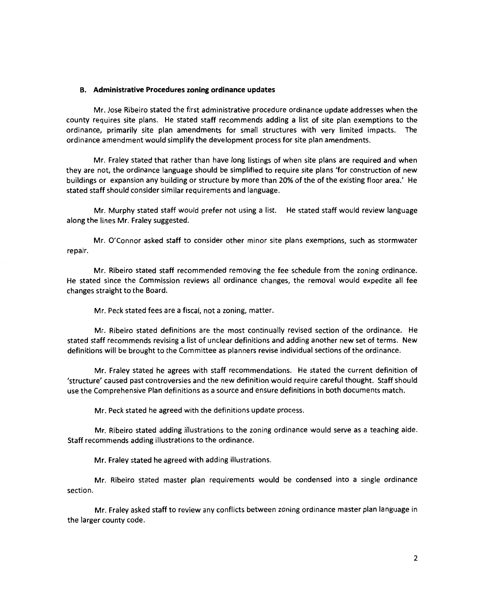#### **B. Administrative Procedures zoning ordinance updates**

Mr. Jose Ribeiro stated the first administrative procedure ordinance update addresses when the county requires site plans. He stated staff recommends adding a list of site plan exemptions to the ordinance, primarily site plan amendments for small structures with very limited impacts. The ordinance amendment would simplify the development process for site plan amendments.

Mr. Fraley stated that rather than have long listings of when site plans are required and when they are not, the ordinance language should be simplified to require site plans 'for construction of new buildings or expansion any building or structure by more than 20% of the of the existing floor area.' He stated staff should consider similar requirements and language.

Mr. Murphy stated staff would prefer not using a list. He stated staff would review language along the lines Mr. Fraley suggested.

Mr. O'Connor asked staff to consider other minor site plans exemptions, such as stormwater repair.

Mr. Ribeiro stated staff recommended removing the fee schedule from the zoning ordinance. He stated since the Commission reviews all ordinance changes, the removal would expedite all fee changes straight to the Board.

Mr. Peck stated fees are a fiscal, not a zoning, matter.

Mr. Ribeiro stated definitions are the most continually revised section of the ordinance. He stated staff recommends revising a list of unclear definitions and adding another new set of terms. New definitions will be brought to the Committee as planners revise individual sections of the ordinance.

Mr. Fraley stated he agrees with staff recommendations. He stated the current definition of 'structure' caused past controversies and the new definition would require careful thought. Staff should use the Comprehensive Plan definitions as a source and ensure definitions in both documents match.

Mr. Peck stated he agreed with the definitions update process.

Mr. Ribeiro stated adding illustrations to the zoning ordinance would serve as a teaching aide. Staff recommends adding illustrations to the ordinance.

Mr. Fraley stated he agreed with adding illustrations.

Mr. Ribeiro stated master plan requirements would be condensed into a single ordinance section.

Mr. Fraley asked staff to review any conflicts between zoning ordinance master plan language in the larger county code.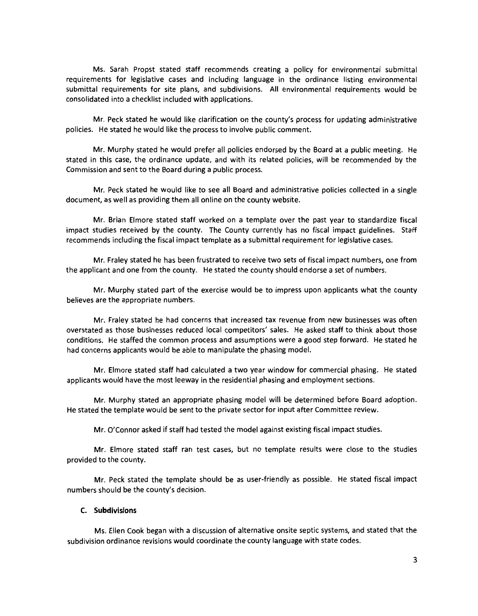Ms. Sarah Propst stated staff recommends creating a policy for environmental submittal requirements for legislative cases and including language in the ordinance listing environmental submittal requirements for site plans, and subdivisions. All environmental requirements would be consolidated into a checklist included with applications.

Mr. Peck stated he would like clarification on the county's process for updating administrative policies. He stated he would like the process to involve public comment.

Mr. Murphy stated he would prefer all policies endorsed by the Board at a public meeting. He stated in this case, the ordinance update, and with its related policies, will be recommended by the Commission and sent to the Board during a public process.

Mr. Peck stated he would like to see all Board and administrative policies collected in a single document, as well as providing them all online on the county website.

Mr. Brian Elmore stated staff worked on a template over the past year to standardize fiscal impact studies received by the county. The County currently has no fiscal impact guidelines. Staff recommends including the fiscal impact template as a submittal requirement for legislative cases.

Mr. Fraley stated he has been frustrated to receive two sets of fiscal impact numbers, one from the applicant and one from the county. He stated the county should endorse a set of numbers.

Mr. Murphy stated part of the exercise would be to impress upon applicants what the county believes are the appropriate numbers.

Mr. Fraley stated he had concerns that increased tax revenue from new businesses was often overstated as those businesses reduced local competitors' sales. He asked staff to think about those conditions. He staffed the common process and assumptions were a good step forward. He stated he had concerns applicants would be able to manipulate the phasing model.

Mr. Elmore stated staff had calculated a two year window for commercial phasing. He stated applicants would have the most leeway in the residential phasing and employment sections.

Mr. Murphy stated an appropriate phasing model will be determined before Board adoption. He stated the template would be sent to the private sector for input after Committee review.

Mr. O'Connor asked if staff had tested the model against existing fiscal impact studies.

Mr. Elmore stated staff ran test cases, but no template results were close to the studies provided to the county.

Mr. Peck stated the template should be as user-friendly as possible. He stated fiscal impact numbers should be the county's decision.

## **C. Subdivisions**

Ms. Ellen Cook began with a discussion of alternative onsite septic systems, and stated that the subdivision ordinance revisions would coordinate the county language with state codes.